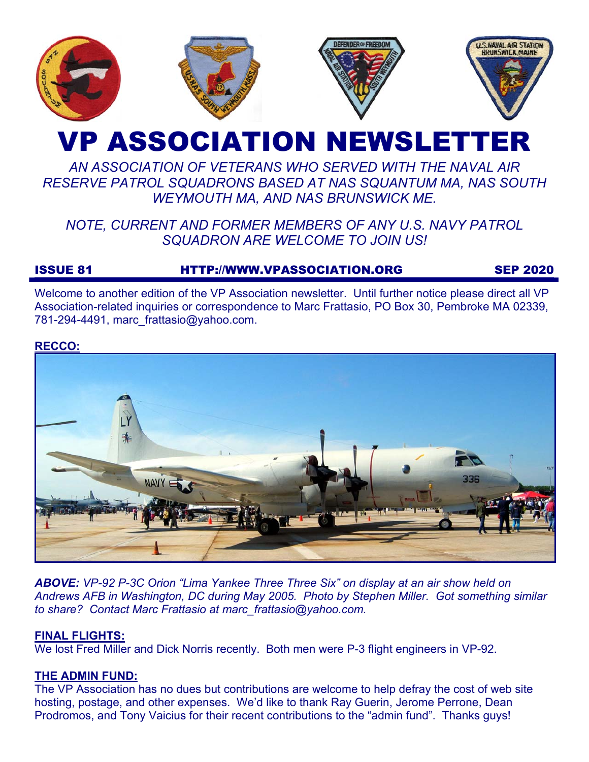

# VP ASSOCIATION NEWSLETTER

# *AN ASSOCIATION OF VETERANS WHO SERVED WITH THE NAVAL AIR RESERVE PATROL SQUADRONS BASED AT NAS SQUANTUM MA, NAS SOUTH WEYMOUTH MA, AND NAS BRUNSWICK ME.*

# *NOTE, CURRENT AND FORMER MEMBERS OF ANY U.S. NAVY PATROL SQUADRON ARE WELCOME TO JOIN US!*

# ISSUE 81 HTTP://WWW.VPASSOCIATION.ORG SEP 2020

Welcome to another edition of the VP Association newsletter. Until further notice please direct all VP Association-related inquiries or correspondence to Marc Frattasio, PO Box 30, Pembroke MA 02339, 781-294-4491, marc\_frattasio@yahoo.com.

## **RECCO:**



*ABOVE: VP-92 P-3C Orion "Lima Yankee Three Three Six" on display at an air show held on Andrews AFB in Washington, DC during May 2005. Photo by Stephen Miller. Got something similar to share? Contact Marc Frattasio at marc\_frattasio@yahoo.com.* 

## **FINAL FLIGHTS:**

We lost Fred Miller and Dick Norris recently. Both men were P-3 flight engineers in VP-92.

# **THE ADMIN FUND:**

The VP Association has no dues but contributions are welcome to help defray the cost of web site hosting, postage, and other expenses. We'd like to thank Ray Guerin, Jerome Perrone, Dean Prodromos, and Tony Vaicius for their recent contributions to the "admin fund". Thanks guys!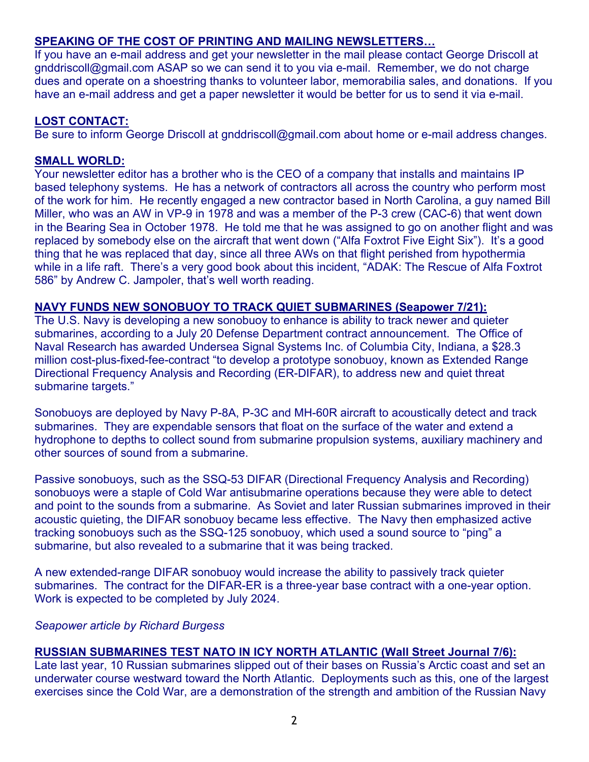# **SPEAKING OF THE COST OF PRINTING AND MAILING NEWSLETTERS…**

If you have an e-mail address and get your newsletter in the mail please contact George Driscoll at gnddriscoll@gmail.com ASAP so we can send it to you via e-mail. Remember, we do not charge dues and operate on a shoestring thanks to volunteer labor, memorabilia sales, and donations. If you have an e-mail address and get a paper newsletter it would be better for us to send it via e-mail.

# **LOST CONTACT:**

Be sure to inform George Driscoll at gnddriscoll@gmail.com about home or e-mail address changes.

# **SMALL WORLD:**

Your newsletter editor has a brother who is the CEO of a company that installs and maintains IP based telephony systems. He has a network of contractors all across the country who perform most of the work for him. He recently engaged a new contractor based in North Carolina, a guy named Bill Miller, who was an AW in VP-9 in 1978 and was a member of the P-3 crew (CAC-6) that went down in the Bearing Sea in October 1978. He told me that he was assigned to go on another flight and was replaced by somebody else on the aircraft that went down ("Alfa Foxtrot Five Eight Six"). It's a good thing that he was replaced that day, since all three AWs on that flight perished from hypothermia while in a life raft. There's a very good book about this incident, "ADAK: The Rescue of Alfa Foxtrot 586" by Andrew C. Jampoler, that's well worth reading.

## **NAVY FUNDS NEW SONOBUOY TO TRACK QUIET SUBMARINES (Seapower 7/21):**

The U.S. Navy is developing a new sonobuoy to enhance is ability to track newer and quieter submarines, according to a July 20 Defense Department contract announcement. The Office of Naval Research has awarded Undersea Signal Systems Inc. of Columbia City, Indiana, a \$28.3 million cost-plus-fixed-fee-contract "to develop a prototype sonobuoy, known as Extended Range Directional Frequency Analysis and Recording (ER-DIFAR), to address new and quiet threat submarine targets."

Sonobuoys are deployed by Navy P-8A, P-3C and MH-60R aircraft to acoustically detect and track submarines. They are expendable sensors that float on the surface of the water and extend a hydrophone to depths to collect sound from submarine propulsion systems, auxiliary machinery and other sources of sound from a submarine.

Passive sonobuoys, such as the SSQ-53 DIFAR (Directional Frequency Analysis and Recording) sonobuoys were a staple of Cold War antisubmarine operations because they were able to detect and point to the sounds from a submarine. As Soviet and later Russian submarines improved in their acoustic quieting, the DIFAR sonobuoy became less effective. The Navy then emphasized active tracking sonobuoys such as the SSQ-125 sonobuoy, which used a sound source to "ping" a submarine, but also revealed to a submarine that it was being tracked.

A new extended-range DIFAR sonobuoy would increase the ability to passively track quieter submarines. The contract for the DIFAR-ER is a three-year base contract with a one-year option. Work is expected to be completed by July 2024.

## *Seapower article by Richard Burgess*

# **RUSSIAN SUBMARINES TEST NATO IN ICY NORTH ATLANTIC (Wall Street Journal 7/6):**

Late last year, 10 Russian submarines slipped out of their bases on Russia's Arctic coast and set an underwater course westward toward the North Atlantic. Deployments such as this, one of the largest exercises since the Cold War, are a demonstration of the strength and ambition of the Russian Navy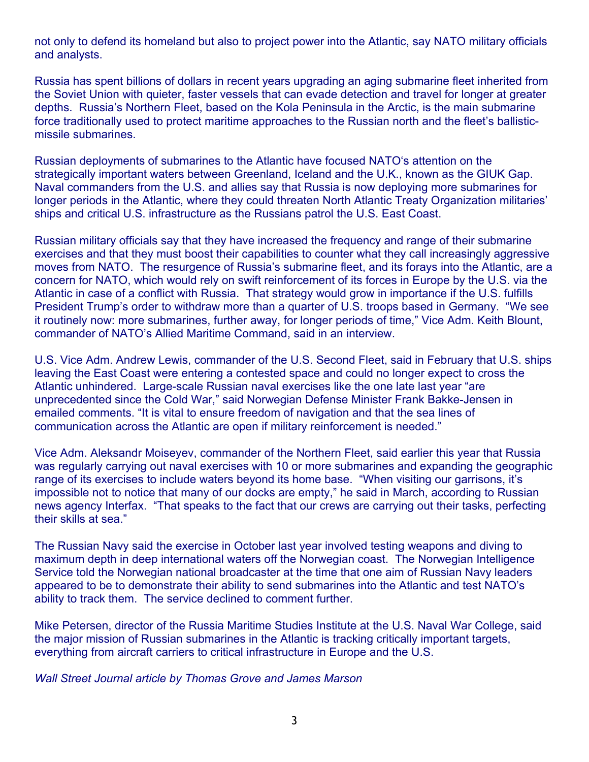not only to defend its homeland but also to project power into the Atlantic, say NATO military officials and analysts.

Russia has spent billions of dollars in recent years upgrading an aging submarine fleet inherited from the Soviet Union with quieter, faster vessels that can evade detection and travel for longer at greater depths. Russia's Northern Fleet, based on the Kola Peninsula in the Arctic, is the main submarine force traditionally used to protect maritime approaches to the Russian north and the fleet's ballisticmissile submarines.

Russian deployments of submarines to the Atlantic have focused NATO's attention on the strategically important waters between Greenland, Iceland and the U.K., known as the GIUK Gap. Naval commanders from the U.S. and allies say that Russia is now deploying more submarines for longer periods in the Atlantic, where they could threaten North Atlantic Treaty Organization militaries' ships and critical U.S. infrastructure as the Russians patrol the U.S. East Coast.

Russian military officials say that they have increased the frequency and range of their submarine exercises and that they must boost their capabilities to counter what they call increasingly aggressive moves from NATO. The resurgence of Russia's submarine fleet, and its forays into the Atlantic, are a concern for NATO, which would rely on swift reinforcement of its forces in Europe by the U.S. via the Atlantic in case of a conflict with Russia. That strategy would grow in importance if the U.S. fulfills President Trump's order to withdraw more than a quarter of U.S. troops based in Germany. "We see it routinely now: more submarines, further away, for longer periods of time," Vice Adm. Keith Blount, commander of NATO's Allied Maritime Command, said in an interview.

U.S. Vice Adm. Andrew Lewis, commander of the U.S. Second Fleet, said in February that U.S. ships leaving the East Coast were entering a contested space and could no longer expect to cross the Atlantic unhindered. Large-scale Russian naval exercises like the one late last year "are unprecedented since the Cold War," said Norwegian Defense Minister Frank Bakke-Jensen in emailed comments. "It is vital to ensure freedom of navigation and that the sea lines of communication across the Atlantic are open if military reinforcement is needed."

Vice Adm. Aleksandr Moiseyev, commander of the Northern Fleet, said earlier this year that Russia was regularly carrying out naval exercises with 10 or more submarines and expanding the geographic range of its exercises to include waters beyond its home base. "When visiting our garrisons, it's impossible not to notice that many of our docks are empty," he said in March, according to Russian news agency Interfax. "That speaks to the fact that our crews are carrying out their tasks, perfecting their skills at sea."

The Russian Navy said the exercise in October last year involved testing weapons and diving to maximum depth in deep international waters off the Norwegian coast. The Norwegian Intelligence Service told the Norwegian national broadcaster at the time that one aim of Russian Navy leaders appeared to be to demonstrate their ability to send submarines into the Atlantic and test NATO's ability to track them. The service declined to comment further.

Mike Petersen, director of the Russia Maritime Studies Institute at the U.S. Naval War College, said the major mission of Russian submarines in the Atlantic is tracking critically important targets, everything from aircraft carriers to critical infrastructure in Europe and the U.S.

*Wall Street Journal article by Thomas Grove and James Marson*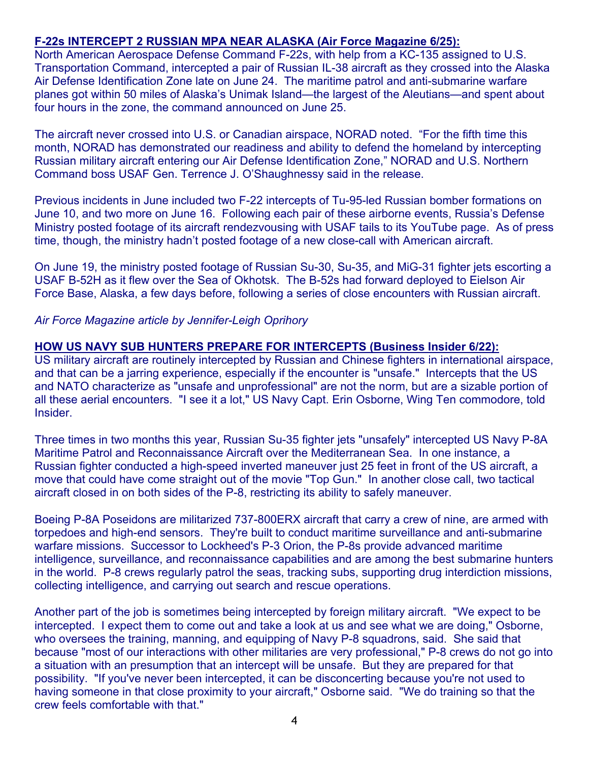# **F-22s INTERCEPT 2 RUSSIAN MPA NEAR ALASKA (Air Force Magazine 6/25):**

North American Aerospace Defense Command F-22s, with help from a KC-135 assigned to U.S. Transportation Command, intercepted a pair of Russian IL-38 aircraft as they crossed into the Alaska Air Defense Identification Zone late on June 24. The maritime patrol and anti-submarine warfare planes got within 50 miles of Alaska's Unimak Island—the largest of the Aleutians—and spent about four hours in the zone, the command announced on June 25.

The aircraft never crossed into U.S. or Canadian airspace, NORAD noted. "For the fifth time this month, NORAD has demonstrated our readiness and ability to defend the homeland by intercepting Russian military aircraft entering our Air Defense Identification Zone," NORAD and U.S. Northern Command boss USAF Gen. Terrence J. O'Shaughnessy said in the release.

Previous incidents in June included two F-22 intercepts of Tu-95-led Russian bomber formations on June 10, and two more on June 16. Following each pair of these airborne events, Russia's Defense Ministry posted footage of its aircraft rendezvousing with USAF tails to its YouTube page. As of press time, though, the ministry hadn't posted footage of a new close-call with American aircraft.

On June 19, the ministry posted footage of Russian Su-30, Su-35, and MiG-31 fighter jets escorting a USAF B-52H as it flew over the Sea of Okhotsk. The B-52s had forward deployed to Eielson Air Force Base, Alaska, a few days before, following a series of close encounters with Russian aircraft.

*Air Force Magazine article by Jennifer-Leigh Oprihory* 

#### **HOW US NAVY SUB HUNTERS PREPARE FOR INTERCEPTS (Business Insider 6/22):**

US military aircraft are routinely intercepted by Russian and Chinese fighters in international airspace, and that can be a jarring experience, especially if the encounter is "unsafe." Intercepts that the US and NATO characterize as "unsafe and unprofessional" are not the norm, but are a sizable portion of all these aerial encounters. "I see it a lot," US Navy Capt. Erin Osborne, Wing Ten commodore, told Insider.

Three times in two months this year, Russian Su-35 fighter jets "unsafely" intercepted US Navy P-8A Maritime Patrol and Reconnaissance Aircraft over the Mediterranean Sea. In one instance, a Russian fighter conducted a high-speed inverted maneuver just 25 feet in front of the US aircraft, a move that could have come straight out of the movie "Top Gun." In another close call, two tactical aircraft closed in on both sides of the P-8, restricting its ability to safely maneuver.

Boeing P-8A Poseidons are militarized 737-800ERX aircraft that carry a crew of nine, are armed with torpedoes and high-end sensors. They're built to conduct maritime surveillance and anti-submarine warfare missions. Successor to Lockheed's P-3 Orion, the P-8s provide advanced maritime intelligence, surveillance, and reconnaissance capabilities and are among the best submarine hunters in the world. P-8 crews regularly patrol the seas, tracking subs, supporting drug interdiction missions, collecting intelligence, and carrying out search and rescue operations.

Another part of the job is sometimes being intercepted by foreign military aircraft. "We expect to be intercepted. I expect them to come out and take a look at us and see what we are doing," Osborne, who oversees the training, manning, and equipping of Navy P-8 squadrons, said. She said that because "most of our interactions with other militaries are very professional," P-8 crews do not go into a situation with an presumption that an intercept will be unsafe. But they are prepared for that possibility. "If you've never been intercepted, it can be disconcerting because you're not used to having someone in that close proximity to your aircraft," Osborne said. "We do training so that the crew feels comfortable with that."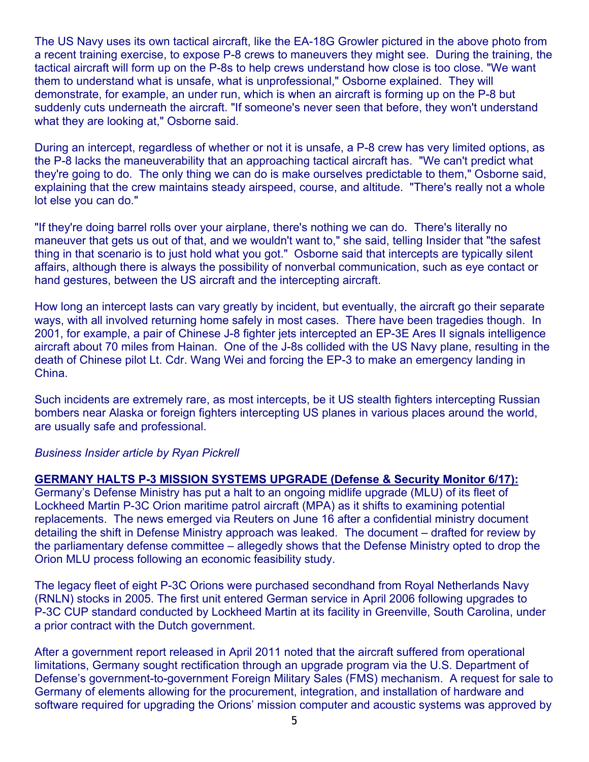The US Navy uses its own tactical aircraft, like the EA-18G Growler pictured in the above photo from a recent training exercise, to expose P-8 crews to maneuvers they might see. During the training, the tactical aircraft will form up on the P-8s to help crews understand how close is too close. "We want them to understand what is unsafe, what is unprofessional," Osborne explained. They will demonstrate, for example, an under run, which is when an aircraft is forming up on the P-8 but suddenly cuts underneath the aircraft. "If someone's never seen that before, they won't understand what they are looking at," Osborne said.

During an intercept, regardless of whether or not it is unsafe, a P-8 crew has very limited options, as the P-8 lacks the maneuverability that an approaching tactical aircraft has. "We can't predict what they're going to do. The only thing we can do is make ourselves predictable to them," Osborne said, explaining that the crew maintains steady airspeed, course, and altitude. "There's really not a whole lot else you can do."

"If they're doing barrel rolls over your airplane, there's nothing we can do. There's literally no maneuver that gets us out of that, and we wouldn't want to," she said, telling Insider that "the safest thing in that scenario is to just hold what you got." Osborne said that intercepts are typically silent affairs, although there is always the possibility of nonverbal communication, such as eye contact or hand gestures, between the US aircraft and the intercepting aircraft.

How long an intercept lasts can vary greatly by incident, but eventually, the aircraft go their separate ways, with all involved returning home safely in most cases. There have been tragedies though. In 2001, for example, a pair of Chinese J-8 fighter jets intercepted an EP-3E Ares II signals intelligence aircraft about 70 miles from Hainan. One of the J-8s collided with the US Navy plane, resulting in the death of Chinese pilot Lt. Cdr. Wang Wei and forcing the EP-3 to make an emergency landing in China.

Such incidents are extremely rare, as most intercepts, be it US stealth fighters intercepting Russian bombers near Alaska or foreign fighters intercepting US planes in various places around the world, are usually safe and professional.

#### *Business Insider article by Ryan Pickrell*

## **GERMANY HALTS P-3 MISSION SYSTEMS UPGRADE (Defense & Security Monitor 6/17):**

Germany's Defense Ministry has put a halt to an ongoing midlife upgrade (MLU) of its fleet of Lockheed Martin P-3C Orion maritime patrol aircraft (MPA) as it shifts to examining potential replacements. The news emerged via Reuters on June 16 after a confidential ministry document detailing the shift in Defense Ministry approach was leaked. The document – drafted for review by the parliamentary defense committee – allegedly shows that the Defense Ministry opted to drop the Orion MLU process following an economic feasibility study.

The legacy fleet of eight P-3C Orions were purchased secondhand from Royal Netherlands Navy (RNLN) stocks in 2005. The first unit entered German service in April 2006 following upgrades to P-3C CUP standard conducted by Lockheed Martin at its facility in Greenville, South Carolina, under a prior contract with the Dutch government.

After a government report released in April 2011 noted that the aircraft suffered from operational limitations, Germany sought rectification through an upgrade program via the U.S. Department of Defense's government-to-government Foreign Military Sales (FMS) mechanism. A request for sale to Germany of elements allowing for the procurement, integration, and installation of hardware and software required for upgrading the Orions' mission computer and acoustic systems was approved by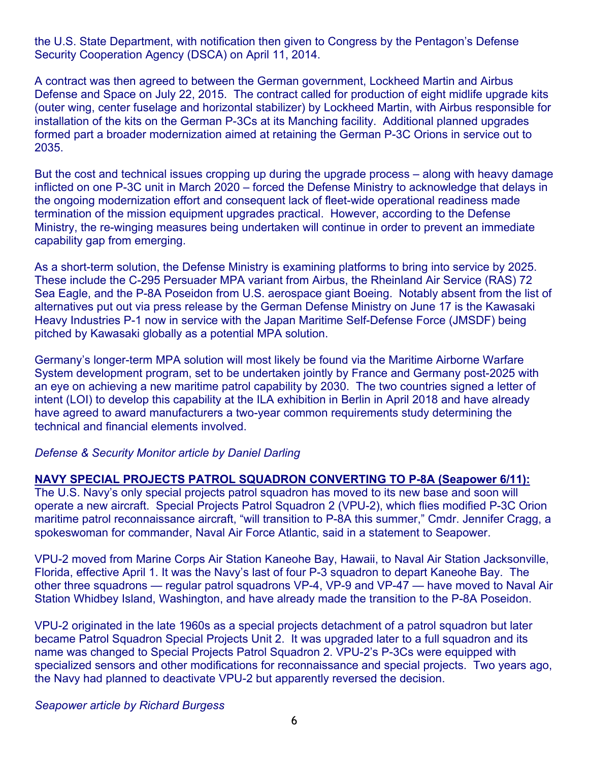the U.S. State Department, with notification then given to Congress by the Pentagon's Defense Security Cooperation Agency (DSCA) on April 11, 2014.

A contract was then agreed to between the German government, Lockheed Martin and Airbus Defense and Space on July 22, 2015. The contract called for production of eight midlife upgrade kits (outer wing, center fuselage and horizontal stabilizer) by Lockheed Martin, with Airbus responsible for installation of the kits on the German P-3Cs at its Manching facility. Additional planned upgrades formed part a broader modernization aimed at retaining the German P-3C Orions in service out to 2035.

But the cost and technical issues cropping up during the upgrade process – along with heavy damage inflicted on one P-3C unit in March 2020 – forced the Defense Ministry to acknowledge that delays in the ongoing modernization effort and consequent lack of fleet-wide operational readiness made termination of the mission equipment upgrades practical. However, according to the Defense Ministry, the re-winging measures being undertaken will continue in order to prevent an immediate capability gap from emerging.

As a short-term solution, the Defense Ministry is examining platforms to bring into service by 2025. These include the C-295 Persuader MPA variant from Airbus, the Rheinland Air Service (RAS) 72 Sea Eagle, and the P-8A Poseidon from U.S. aerospace giant Boeing. Notably absent from the list of alternatives put out via press release by the German Defense Ministry on June 17 is the Kawasaki Heavy Industries P-1 now in service with the Japan Maritime Self-Defense Force (JMSDF) being pitched by Kawasaki globally as a potential MPA solution.

Germany's longer-term MPA solution will most likely be found via the Maritime Airborne Warfare System development program, set to be undertaken jointly by France and Germany post-2025 with an eye on achieving a new maritime patrol capability by 2030. The two countries signed a letter of intent (LOI) to develop this capability at the ILA exhibition in Berlin in April 2018 and have already have agreed to award manufacturers a two-year common requirements study determining the technical and financial elements involved.

## *Defense & Security Monitor article by Daniel Darling*

## **NAVY SPECIAL PROJECTS PATROL SQUADRON CONVERTING TO P-8A (Seapower 6/11):**

The U.S. Navy's only special projects patrol squadron has moved to its new base and soon will operate a new aircraft. Special Projects Patrol Squadron 2 (VPU-2), which flies modified P-3C Orion maritime patrol reconnaissance aircraft, "will transition to P-8A this summer," Cmdr. Jennifer Cragg, a spokeswoman for commander, Naval Air Force Atlantic, said in a statement to Seapower.

VPU-2 moved from Marine Corps Air Station Kaneohe Bay, Hawaii, to Naval Air Station Jacksonville, Florida, effective April 1. It was the Navy's last of four P-3 squadron to depart Kaneohe Bay. The other three squadrons — regular patrol squadrons VP-4, VP-9 and VP-47 — have moved to Naval Air Station Whidbey Island, Washington, and have already made the transition to the P-8A Poseidon.

VPU-2 originated in the late 1960s as a special projects detachment of a patrol squadron but later became Patrol Squadron Special Projects Unit 2. It was upgraded later to a full squadron and its name was changed to Special Projects Patrol Squadron 2. VPU-2's P-3Cs were equipped with specialized sensors and other modifications for reconnaissance and special projects. Two years ago, the Navy had planned to deactivate VPU-2 but apparently reversed the decision.

#### *Seapower article by Richard Burgess*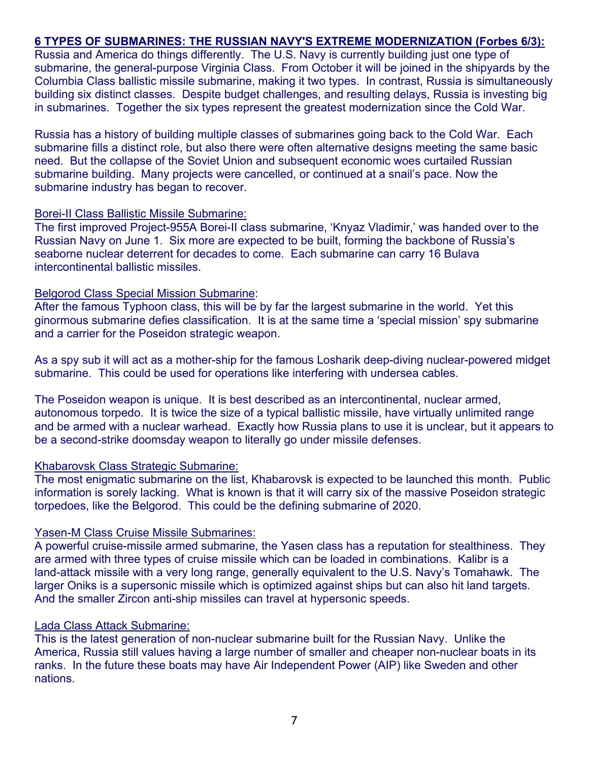# **6 TYPES OF SUBMARINES: THE RUSSIAN NAVY'S EXTREME MODERNIZATION (Forbes 6/3):**

Russia and America do things differently. The U.S. Navy is currently building just one type of submarine, the general-purpose Virginia Class. From October it will be joined in the shipyards by the Columbia Class ballistic missile submarine, making it two types. In contrast, Russia is simultaneously building six distinct classes. Despite budget challenges, and resulting delays, Russia is investing big in submarines. Together the six types represent the greatest modernization since the Cold War.

Russia has a history of building multiple classes of submarines going back to the Cold War. Each submarine fills a distinct role, but also there were often alternative designs meeting the same basic need. But the collapse of the Soviet Union and subsequent economic woes curtailed Russian submarine building. Many projects were cancelled, or continued at a snail's pace. Now the submarine industry has began to recover.

#### Borei-II Class Ballistic Missile Submarine:

The first improved Project-955A Borei-II class submarine, 'Knyaz Vladimir,' was handed over to the Russian Navy on June 1. Six more are expected to be built, forming the backbone of Russia's seaborne nuclear deterrent for decades to come. Each submarine can carry 16 Bulava intercontinental ballistic missiles.

#### Belgorod Class Special Mission Submarine:

After the famous Typhoon class, this will be by far the largest submarine in the world. Yet this ginormous submarine defies classification. It is at the same time a 'special mission' spy submarine and a carrier for the Poseidon strategic weapon.

As a spy sub it will act as a mother-ship for the famous Losharik deep-diving nuclear-powered midget submarine. This could be used for operations like interfering with undersea cables.

The Poseidon weapon is unique. It is best described as an intercontinental, nuclear armed, autonomous torpedo. It is twice the size of a typical ballistic missile, have virtually unlimited range and be armed with a nuclear warhead. Exactly how Russia plans to use it is unclear, but it appears to be a second-strike doomsday weapon to literally go under missile defenses.

#### Khabarovsk Class Strategic Submarine:

The most enigmatic submarine on the list, Khabarovsk is expected to be launched this month. Public information is sorely lacking. What is known is that it will carry six of the massive Poseidon strategic torpedoes, like the Belgorod. This could be the defining submarine of 2020.

#### Yasen-M Class Cruise Missile Submarines:

A powerful cruise-missile armed submarine, the Yasen class has a reputation for stealthiness. They are armed with three types of cruise missile which can be loaded in combinations. Kalibr is a land-attack missile with a very long range, generally equivalent to the U.S. Navy's Tomahawk. The larger Oniks is a supersonic missile which is optimized against ships but can also hit land targets. And the smaller Zircon anti-ship missiles can travel at hypersonic speeds.

#### Lada Class Attack Submarine:

This is the latest generation of non-nuclear submarine built for the Russian Navy. Unlike the America, Russia still values having a large number of smaller and cheaper non-nuclear boats in its ranks. In the future these boats may have Air Independent Power (AIP) like Sweden and other nations.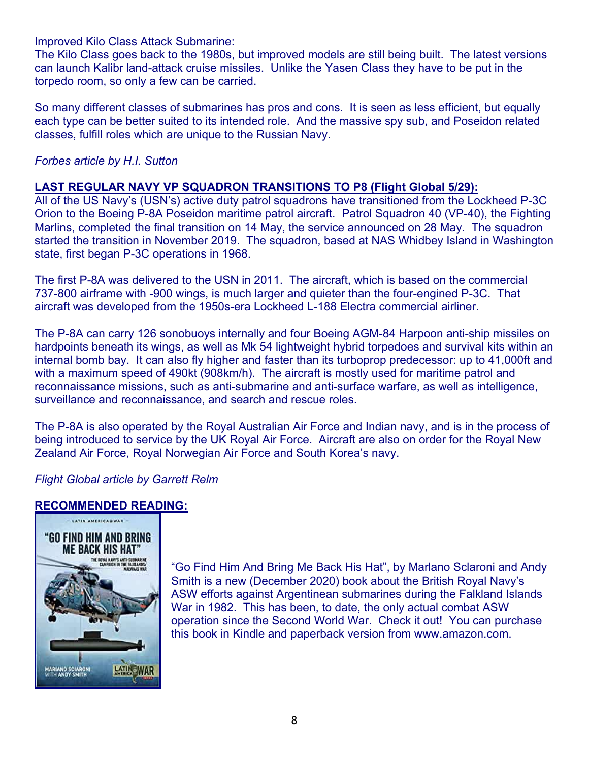#### Improved Kilo Class Attack Submarine:

The Kilo Class goes back to the 1980s, but improved models are still being built. The latest versions can launch Kalibr land-attack cruise missiles. Unlike the Yasen Class they have to be put in the torpedo room, so only a few can be carried.

So many different classes of submarines has pros and cons. It is seen as less efficient, but equally each type can be better suited to its intended role. And the massive spy sub, and Poseidon related classes, fulfill roles which are unique to the Russian Navy.

#### *Forbes article by H.I. Sutton*

#### **LAST REGULAR NAVY VP SQUADRON TRANSITIONS TO P8 (Flight Global 5/29):**

All of the US Navy's (USN's) active duty patrol squadrons have transitioned from the Lockheed P-3C Orion to the Boeing P-8A Poseidon maritime patrol aircraft. Patrol Squadron 40 (VP-40), the Fighting Marlins, completed the final transition on 14 May, the service announced on 28 May. The squadron started the transition in November 2019. The squadron, based at NAS Whidbey Island in Washington state, first began P-3C operations in 1968.

The first P-8A was delivered to the USN in 2011. The aircraft, which is based on the commercial 737-800 airframe with -900 wings, is much larger and quieter than the four-engined P-3C. That aircraft was developed from the 1950s-era Lockheed L-188 Electra commercial airliner.

The P-8A can carry 126 sonobuoys internally and four Boeing AGM-84 Harpoon anti-ship missiles on hardpoints beneath its wings, as well as Mk 54 lightweight hybrid torpedoes and survival kits within an internal bomb bay. It can also fly higher and faster than its turboprop predecessor: up to 41,000ft and with a maximum speed of 490kt (908km/h). The aircraft is mostly used for maritime patrol and reconnaissance missions, such as anti-submarine and anti-surface warfare, as well as intelligence, surveillance and reconnaissance, and search and rescue roles.

The P-8A is also operated by the Royal Australian Air Force and Indian navy, and is in the process of being introduced to service by the UK Royal Air Force. Aircraft are also on order for the Royal New Zealand Air Force, Royal Norwegian Air Force and South Korea's navy.

## *Flight Global article by Garrett Relm*

#### **RECOMMENDED READING:**



"Go Find Him And Bring Me Back His Hat", by Marlano Sclaroni and Andy Smith is a new (December 2020) book about the British Royal Navy's ASW efforts against Argentinean submarines during the Falkland Islands War in 1982. This has been, to date, the only actual combat ASW operation since the Second World War. Check it out! You can purchase this book in Kindle and paperback version from www.amazon.com.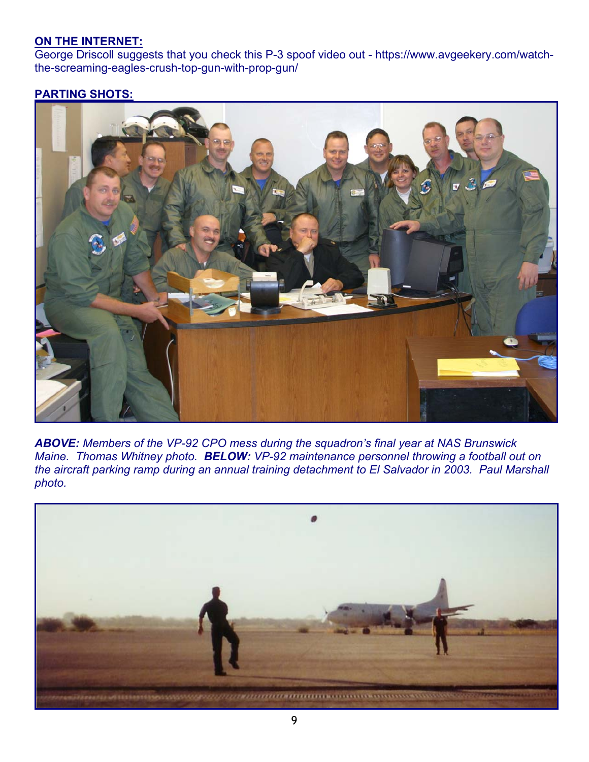# **ON THE INTERNET:**

George Driscoll suggests that you check this P-3 spoof video out - https://www.avgeekery.com/watchthe-screaming-eagles-crush-top-gun-with-prop-gun/

# **PARTING SHOTS:**



*ABOVE: Members of the VP-92 CPO mess during the squadron's final year at NAS Brunswick Maine. Thomas Whitney photo. BELOW: VP-92 maintenance personnel throwing a football out on the aircraft parking ramp during an annual training detachment to El Salvador in 2003. Paul Marshall photo.*